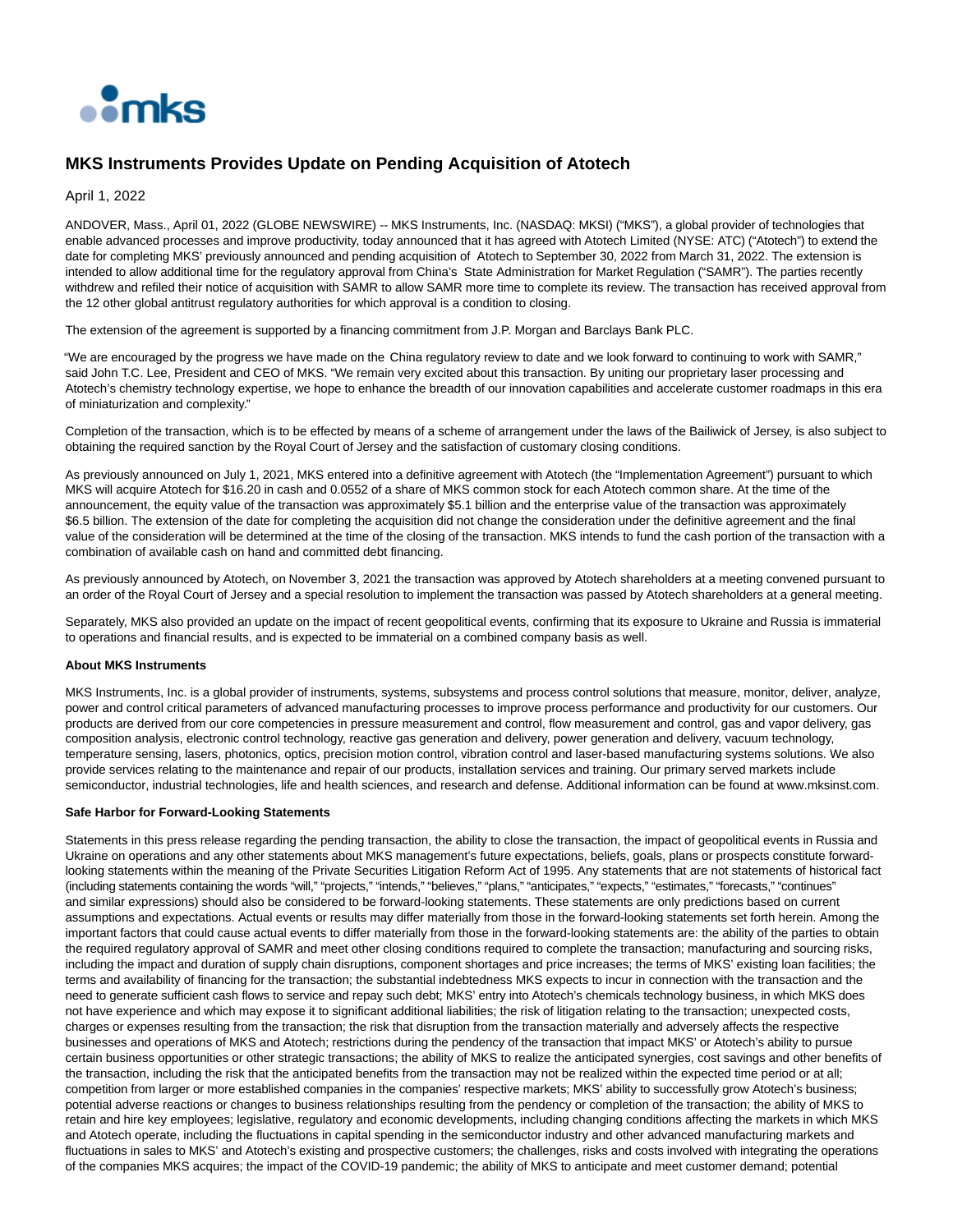

## **MKS Instruments Provides Update on Pending Acquisition of Atotech**

April 1, 2022

ANDOVER, Mass., April 01, 2022 (GLOBE NEWSWIRE) -- MKS Instruments, Inc. (NASDAQ: MKSI) ("MKS"), a global provider of technologies that enable advanced processes and improve productivity, today announced that it has agreed with Atotech Limited (NYSE: ATC) ("Atotech") to extend the date for completing MKS' previously announced and pending acquisition of Atotech to September 30, 2022 from March 31, 2022. The extension is intended to allow additional time for the regulatory approval from China's State Administration for Market Regulation ("SAMR"). The parties recently withdrew and refiled their notice of acquisition with SAMR to allow SAMR more time to complete its review. The transaction has received approval from the 12 other global antitrust regulatory authorities for which approval is a condition to closing.

The extension of the agreement is supported by a financing commitment from J.P. Morgan and Barclays Bank PLC.

"We are encouraged by the progress we have made on the China regulatory review to date and we look forward to continuing to work with SAMR," said John T.C. Lee, President and CEO of MKS. "We remain very excited about this transaction. By uniting our proprietary laser processing and Atotech's chemistry technology expertise, we hope to enhance the breadth of our innovation capabilities and accelerate customer roadmaps in this era of miniaturization and complexity."

Completion of the transaction, which is to be effected by means of a scheme of arrangement under the laws of the Bailiwick of Jersey, is also subject to obtaining the required sanction by the Royal Court of Jersey and the satisfaction of customary closing conditions.

As previously announced on July 1, 2021, MKS entered into a definitive agreement with Atotech (the "Implementation Agreement") pursuant to which MKS will acquire Atotech for \$16.20 in cash and 0.0552 of a share of MKS common stock for each Atotech common share. At the time of the announcement, the equity value of the transaction was approximately \$5.1 billion and the enterprise value of the transaction was approximately \$6.5 billion. The extension of the date for completing the acquisition did not change the consideration under the definitive agreement and the final value of the consideration will be determined at the time of the closing of the transaction. MKS intends to fund the cash portion of the transaction with a combination of available cash on hand and committed debt financing.

As previously announced by Atotech, on November 3, 2021 the transaction was approved by Atotech shareholders at a meeting convened pursuant to an order of the Royal Court of Jersey and a special resolution to implement the transaction was passed by Atotech shareholders at a general meeting.

Separately, MKS also provided an update on the impact of recent geopolitical events, confirming that its exposure to Ukraine and Russia is immaterial to operations and financial results, and is expected to be immaterial on a combined company basis as well.

## **About MKS Instruments**

MKS Instruments, Inc. is a global provider of instruments, systems, subsystems and process control solutions that measure, monitor, deliver, analyze, power and control critical parameters of advanced manufacturing processes to improve process performance and productivity for our customers. Our products are derived from our core competencies in pressure measurement and control, flow measurement and control, gas and vapor delivery, gas composition analysis, electronic control technology, reactive gas generation and delivery, power generation and delivery, vacuum technology, temperature sensing, lasers, photonics, optics, precision motion control, vibration control and laser-based manufacturing systems solutions. We also provide services relating to the maintenance and repair of our products, installation services and training. Our primary served markets include semiconductor, industrial technologies, life and health sciences, and research and defense. Additional information can be found at www.mksinst.com.

## **Safe Harbor for Forward-Looking Statements**

Statements in this press release regarding the pending transaction, the ability to close the transaction, the impact of geopolitical events in Russia and Ukraine on operations and any other statements about MKS management's future expectations, beliefs, goals, plans or prospects constitute forwardlooking statements within the meaning of the Private Securities Litigation Reform Act of 1995. Any statements that are not statements of historical fact (including statements containing the words "will," "projects," "intends," "believes," "plans," "anticipates," "expects," "estimates," "forecasts," "continues" and similar expressions) should also be considered to be forward-looking statements. These statements are only predictions based on current assumptions and expectations. Actual events or results may differ materially from those in the forward-looking statements set forth herein. Among the important factors that could cause actual events to differ materially from those in the forward-looking statements are: the ability of the parties to obtain the required regulatory approval of SAMR and meet other closing conditions required to complete the transaction; manufacturing and sourcing risks, including the impact and duration of supply chain disruptions, component shortages and price increases; the terms of MKS' existing loan facilities; the terms and availability of financing for the transaction; the substantial indebtedness MKS expects to incur in connection with the transaction and the need to generate sufficient cash flows to service and repay such debt; MKS' entry into Atotech's chemicals technology business, in which MKS does not have experience and which may expose it to significant additional liabilities; the risk of litigation relating to the transaction; unexpected costs, charges or expenses resulting from the transaction; the risk that disruption from the transaction materially and adversely affects the respective businesses and operations of MKS and Atotech; restrictions during the pendency of the transaction that impact MKS' or Atotech's ability to pursue certain business opportunities or other strategic transactions; the ability of MKS to realize the anticipated synergies, cost savings and other benefits of the transaction, including the risk that the anticipated benefits from the transaction may not be realized within the expected time period or at all; competition from larger or more established companies in the companies' respective markets; MKS' ability to successfully grow Atotech's business; potential adverse reactions or changes to business relationships resulting from the pendency or completion of the transaction; the ability of MKS to retain and hire key employees; legislative, regulatory and economic developments, including changing conditions affecting the markets in which MKS and Atotech operate, including the fluctuations in capital spending in the semiconductor industry and other advanced manufacturing markets and fluctuations in sales to MKS' and Atotech's existing and prospective customers; the challenges, risks and costs involved with integrating the operations of the companies MKS acquires; the impact of the COVID-19 pandemic; the ability of MKS to anticipate and meet customer demand; potential